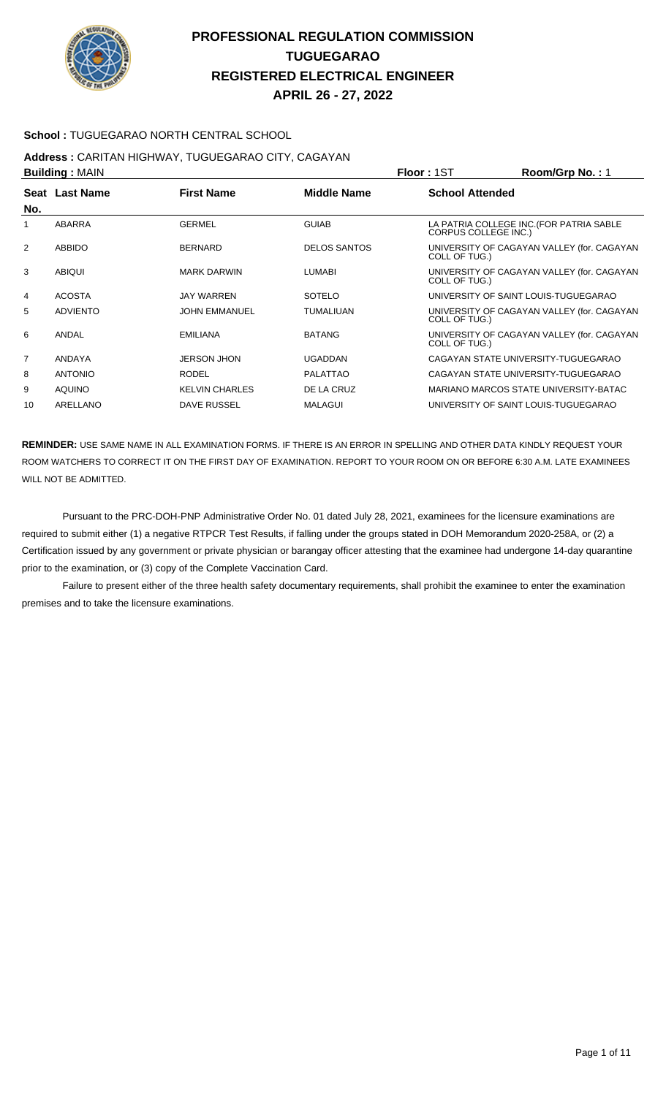

### **School :** TUGUEGARAO NORTH CENTRAL SCHOOL

## **Address :** CARITAN HIGHWAY, TUGUEGARAO CITY, CAGAYAN

| <b>Building: MAIN</b> |                 |                       |                     | <b>Floor: 1ST</b>                    | Room/Grp No.: 1                            |
|-----------------------|-----------------|-----------------------|---------------------|--------------------------------------|--------------------------------------------|
| No.                   | Seat Last Name  | <b>First Name</b>     | Middle Name         | <b>School Attended</b>               |                                            |
| 1                     | <b>ABARRA</b>   | <b>GERMEL</b>         | <b>GUIAB</b>        | <b>CORPUS COLLEGE INC.)</b>          | LA PATRIA COLLEGE INC. (FOR PATRIA SABLE   |
| 2                     | ABBIDO          | <b>BERNARD</b>        | <b>DELOS SANTOS</b> | COLL OF TUG.)                        | UNIVERSITY OF CAGAYAN VALLEY (for. CAGAYAN |
| 3                     | <b>ABIQUI</b>   | <b>MARK DARWIN</b>    | <b>LUMABI</b>       | COLL OF TUG.)                        | UNIVERSITY OF CAGAYAN VALLEY (for. CAGAYAN |
| 4                     | <b>ACOSTA</b>   | <b>JAY WARREN</b>     | <b>SOTELO</b>       | UNIVERSITY OF SAINT LOUIS-TUGUEGARAO |                                            |
| 5                     | <b>ADVIENTO</b> | <b>JOHN EMMANUEL</b>  | <b>TUMALIUAN</b>    | COLL OF TUG.)                        | UNIVERSITY OF CAGAYAN VALLEY (for. CAGAYAN |
| 6                     | ANDAL           | EMILIANA              | <b>BATANG</b>       | COLL OF TUG.)                        | UNIVERSITY OF CAGAYAN VALLEY (for. CAGAYAN |
| $\overline{7}$        | ANDAYA          | <b>JERSON JHON</b>    | <b>UGADDAN</b>      | CAGAYAN STATE UNIVERSITY-TUGUEGARAO  |                                            |
| 8                     | <b>ANTONIO</b>  | <b>RODEL</b>          | <b>PALATTAO</b>     | CAGAYAN STATE UNIVERSITY-TUGUEGARAO  |                                            |
| 9                     | <b>AQUINO</b>   | <b>KELVIN CHARLES</b> | DE LA CRUZ          |                                      | MARIANO MARCOS STATE UNIVERSITY-BATAC      |
| 10                    | ARELLANO        | DAVE RUSSEL           | <b>MALAGUI</b>      | UNIVERSITY OF SAINT LOUIS-TUGUEGARAO |                                            |

**REMINDER:** USE SAME NAME IN ALL EXAMINATION FORMS. IF THERE IS AN ERROR IN SPELLING AND OTHER DATA KINDLY REQUEST YOUR ROOM WATCHERS TO CORRECT IT ON THE FIRST DAY OF EXAMINATION. REPORT TO YOUR ROOM ON OR BEFORE 6:30 A.M. LATE EXAMINEES WILL NOT BE ADMITTED.

 Pursuant to the PRC-DOH-PNP Administrative Order No. 01 dated July 28, 2021, examinees for the licensure examinations are required to submit either (1) a negative RTPCR Test Results, if falling under the groups stated in DOH Memorandum 2020-258A, or (2) a Certification issued by any government or private physician or barangay officer attesting that the examinee had undergone 14-day quarantine prior to the examination, or (3) copy of the Complete Vaccination Card.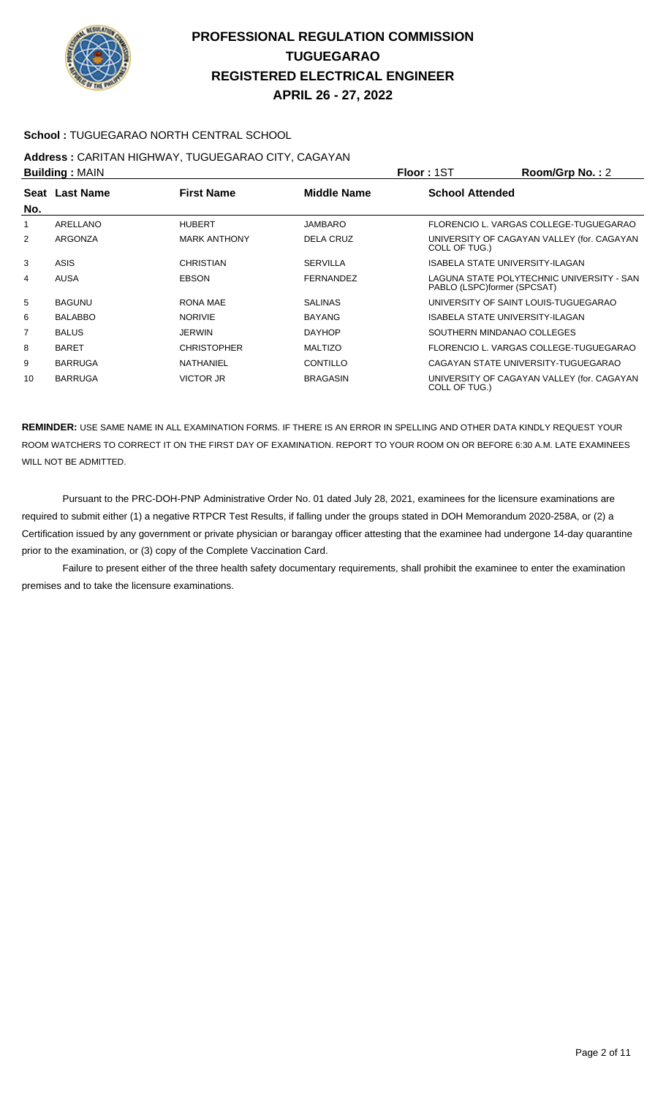

#### **School :** TUGUEGARAO NORTH CENTRAL SCHOOL

# **Address :** CARITAN HIGHWAY, TUGUEGARAO CITY, CAGAYAN

| <b>Building: MAIN</b> |                | Floor: 1ST          | Room/Grp No.: 2    |                        |                                                                          |
|-----------------------|----------------|---------------------|--------------------|------------------------|--------------------------------------------------------------------------|
|                       | Seat Last Name | <b>First Name</b>   | <b>Middle Name</b> | <b>School Attended</b> |                                                                          |
| No.                   |                |                     |                    |                        |                                                                          |
| 1                     | ARELLANO       | <b>HUBERT</b>       | <b>JAMBARO</b>     |                        | FLORENCIO L. VARGAS COLLEGE-TUGUEGARAO                                   |
| $\overline{2}$        | <b>ARGONZA</b> | <b>MARK ANTHONY</b> | <b>DELA CRUZ</b>   | COLL OF TUG.)          | UNIVERSITY OF CAGAYAN VALLEY (for. CAGAYAN                               |
| 3                     | ASIS           | CHRISTIAN           | <b>SERVILLA</b>    |                        | ISABELA STATE UNIVERSITY-ILAGAN                                          |
| 4                     | <b>AUSA</b>    | <b>EBSON</b>        | <b>FERNANDEZ</b>   |                        | LAGUNA STATE POLYTECHNIC UNIVERSITY - SAN<br>PABLO (LSPC)former (SPCSAT) |
| 5                     | <b>BAGUNU</b>  | RONA MAE            | <b>SALINAS</b>     |                        | UNIVERSITY OF SAINT LOUIS-TUGUEGARAO                                     |
| 6                     | <b>BALABBO</b> | <b>NORIVIE</b>      | <b>BAYANG</b>      |                        | <b>ISABELA STATE UNIVERSITY-ILAGAN</b>                                   |
| $\overline{7}$        | <b>BALUS</b>   | <b>JERWIN</b>       | <b>DAYHOP</b>      |                        | SOUTHERN MINDANAO COLLEGES                                               |
| 8                     | <b>BARET</b>   | <b>CHRISTOPHER</b>  | <b>MALTIZO</b>     |                        | FLORENCIO L. VARGAS COLLEGE-TUGUEGARAO                                   |
| 9                     | <b>BARRUGA</b> | NATHANIEL           | CONTILLO           |                        | CAGAYAN STATE UNIVERSITY-TUGUEGARAO                                      |
| 10                    | <b>BARRUGA</b> | VICTOR JR           | <b>BRAGASIN</b>    | COLL OF TUG.)          | UNIVERSITY OF CAGAYAN VALLEY (for. CAGAYAN                               |

**REMINDER:** USE SAME NAME IN ALL EXAMINATION FORMS. IF THERE IS AN ERROR IN SPELLING AND OTHER DATA KINDLY REQUEST YOUR ROOM WATCHERS TO CORRECT IT ON THE FIRST DAY OF EXAMINATION. REPORT TO YOUR ROOM ON OR BEFORE 6:30 A.M. LATE EXAMINEES WILL NOT BE ADMITTED.

 Pursuant to the PRC-DOH-PNP Administrative Order No. 01 dated July 28, 2021, examinees for the licensure examinations are required to submit either (1) a negative RTPCR Test Results, if falling under the groups stated in DOH Memorandum 2020-258A, or (2) a Certification issued by any government or private physician or barangay officer attesting that the examinee had undergone 14-day quarantine prior to the examination, or (3) copy of the Complete Vaccination Card.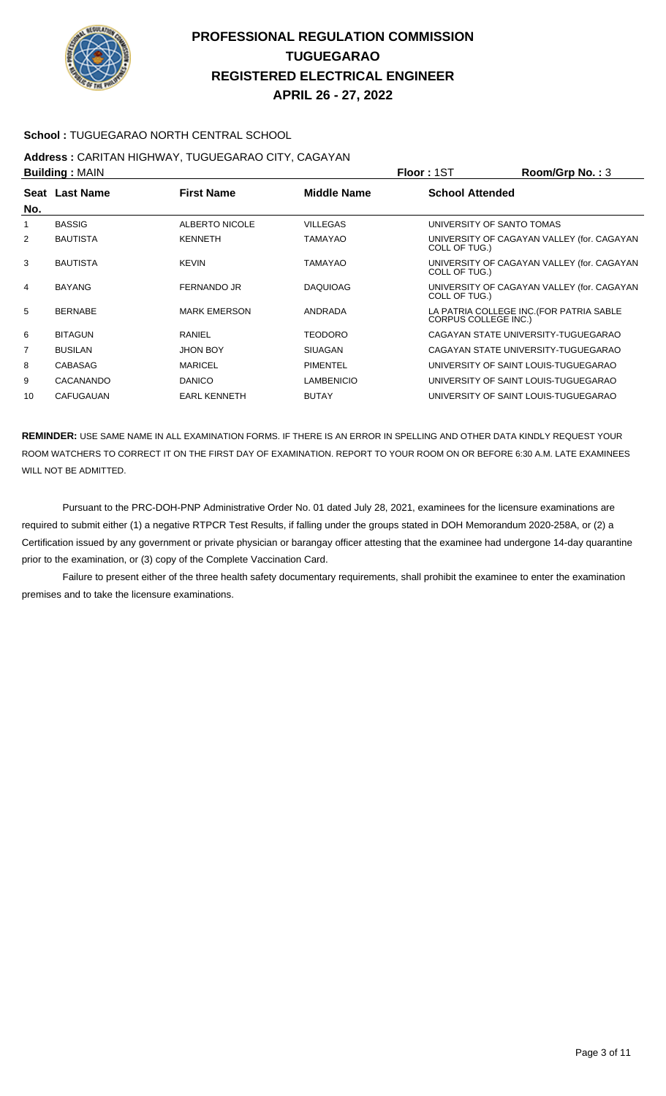

### **School :** TUGUEGARAO NORTH CENTRAL SCHOOL

# **Address :** CARITAN HIGHWAY, TUGUEGARAO CITY, CAGAYAN

| <b>Building: MAIN</b> |                  |                     |                   | <b>Floor: 1ST</b>                                                       | Room/Grp No.: 3                            |
|-----------------------|------------------|---------------------|-------------------|-------------------------------------------------------------------------|--------------------------------------------|
| No.                   | Seat Last Name   | <b>First Name</b>   | Middle Name       | <b>School Attended</b>                                                  |                                            |
| 1                     | <b>BASSIG</b>    | ALBERTO NICOLE      | <b>VILLEGAS</b>   | UNIVERSITY OF SANTO TOMAS                                               |                                            |
| 2                     | <b>BAUTISTA</b>  | <b>KENNETH</b>      | <b>TAMAYAO</b>    | COLL OF TUG.)                                                           | UNIVERSITY OF CAGAYAN VALLEY (for. CAGAYAN |
| 3                     | <b>BAUTISTA</b>  | <b>KEVIN</b>        | <b>TAMAYAO</b>    | COLL OF TUG.)                                                           | UNIVERSITY OF CAGAYAN VALLEY (for. CAGAYAN |
| 4                     | <b>BAYANG</b>    | <b>FERNANDO JR</b>  | <b>DAQUIOAG</b>   | COLL OF TUG.)                                                           | UNIVERSITY OF CAGAYAN VALLEY (for. CAGAYAN |
| 5                     | <b>BERNABE</b>   | <b>MARK EMERSON</b> | ANDRADA           | LA PATRIA COLLEGE INC. (FOR PATRIA SABLE<br><b>CORPUS COLLEGE INC.)</b> |                                            |
| 6                     | <b>BITAGUN</b>   | RANIEL              | <b>TEODORO</b>    | CAGAYAN STATE UNIVERSITY-TUGUEGARAO                                     |                                            |
| $\overline{7}$        | <b>BUSILAN</b>   | <b>JHON BOY</b>     | <b>SIUAGAN</b>    | CAGAYAN STATE UNIVERSITY-TUGUEGARAO                                     |                                            |
| 8                     | <b>CABASAG</b>   | <b>MARICEL</b>      | <b>PIMENTEL</b>   | UNIVERSITY OF SAINT LOUIS-TUGUEGARAO                                    |                                            |
| 9                     | CACANANDO        | <b>DANICO</b>       | <b>LAMBENICIO</b> | UNIVERSITY OF SAINT LOUIS-TUGUEGARAO                                    |                                            |
| 10                    | <b>CAFUGAUAN</b> | <b>EARL KENNETH</b> | <b>BUTAY</b>      | UNIVERSITY OF SAINT LOUIS-TUGUEGARAO                                    |                                            |

**REMINDER:** USE SAME NAME IN ALL EXAMINATION FORMS. IF THERE IS AN ERROR IN SPELLING AND OTHER DATA KINDLY REQUEST YOUR ROOM WATCHERS TO CORRECT IT ON THE FIRST DAY OF EXAMINATION. REPORT TO YOUR ROOM ON OR BEFORE 6:30 A.M. LATE EXAMINEES WILL NOT BE ADMITTED.

 Pursuant to the PRC-DOH-PNP Administrative Order No. 01 dated July 28, 2021, examinees for the licensure examinations are required to submit either (1) a negative RTPCR Test Results, if falling under the groups stated in DOH Memorandum 2020-258A, or (2) a Certification issued by any government or private physician or barangay officer attesting that the examinee had undergone 14-day quarantine prior to the examination, or (3) copy of the Complete Vaccination Card.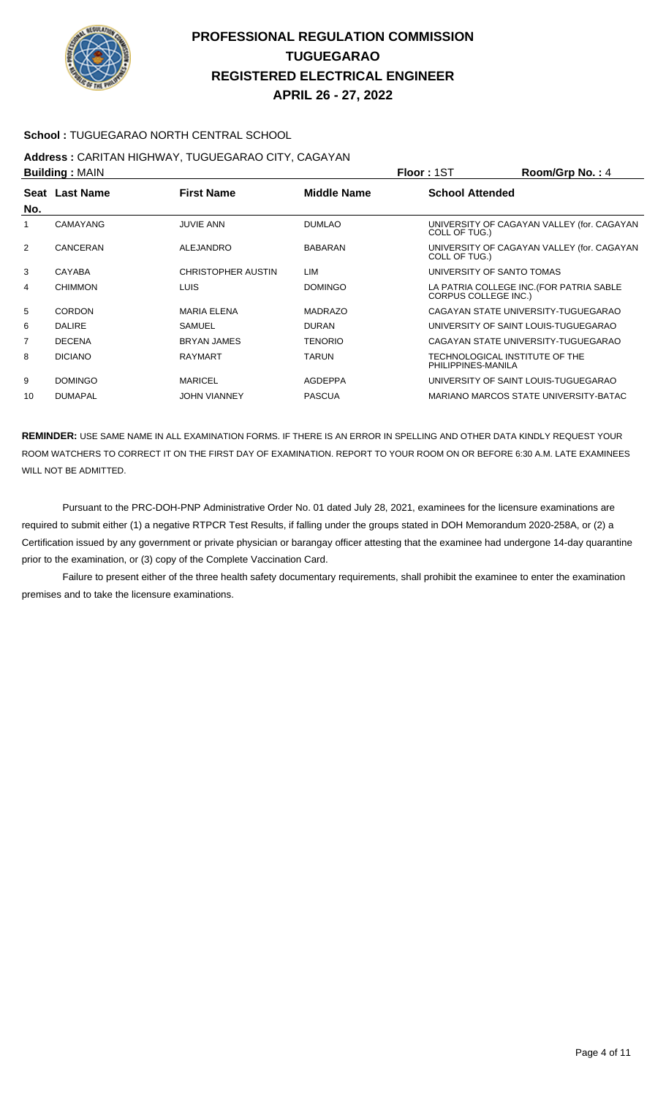

#### **School :** TUGUEGARAO NORTH CENTRAL SCHOOL

#### **Address :** CARITAN HIGHWAY, TUGUEGARAO CITY, CAGAYAN **Building :** MAIN **Floor :** 1ST **Room/Grp No. :** 4

| <b>DUIIUIIIU.</b> IVIAIIV |                 |                           |                    | <b>FIUUI. I</b> JI<br><b>NUUIIIUI U IVU.</b> . 4                        |
|---------------------------|-----------------|---------------------------|--------------------|-------------------------------------------------------------------------|
| No.                       | Seat Last Name  | <b>First Name</b>         | <b>Middle Name</b> | <b>School Attended</b>                                                  |
| 1                         | <b>CAMAYANG</b> | <b>JUVIE ANN</b>          | <b>DUMLAO</b>      | UNIVERSITY OF CAGAYAN VALLEY (for. CAGAYAN<br>COLL OF TUG.)             |
| $\overline{2}$            | CANCERAN        | ALEJANDRO                 | <b>BABARAN</b>     | UNIVERSITY OF CAGAYAN VALLEY (for. CAGAYAN<br>COLL OF TUG.)             |
| 3                         | CAYABA          | <b>CHRISTOPHER AUSTIN</b> | LIM                | UNIVERSITY OF SANTO TOMAS                                               |
| 4                         | <b>CHIMMON</b>  | <b>LUIS</b>               | <b>DOMINGO</b>     | LA PATRIA COLLEGE INC. (FOR PATRIA SABLE<br><b>CORPUS COLLEGE INC.)</b> |
| 5                         | <b>CORDON</b>   | <b>MARIA ELENA</b>        | <b>MADRAZO</b>     | CAGAYAN STATE UNIVERSITY-TUGUEGARAO                                     |
| 6                         | <b>DALIRE</b>   | SAMUEL                    | <b>DURAN</b>       | UNIVERSITY OF SAINT LOUIS-TUGUEGARAO                                    |
| 7                         | <b>DECENA</b>   | <b>BRYAN JAMES</b>        | <b>TENORIO</b>     | CAGAYAN STATE UNIVERSITY-TUGUEGARAO                                     |
| 8                         | <b>DICIANO</b>  | RAYMART                   | <b>TARUN</b>       | TECHNOLOGICAL INSTITUTE OF THE<br>PHILIPPINES-MANILA                    |
| 9                         | <b>DOMINGO</b>  | <b>MARICEL</b>            | <b>AGDEPPA</b>     | UNIVERSITY OF SAINT LOUIS-TUGUEGARAO                                    |
| 10                        | <b>DUMAPAL</b>  | <b>JOHN VIANNEY</b>       | <b>PASCUA</b>      | MARIANO MARCOS STATE UNIVERSITY-BATAC                                   |

**REMINDER:** USE SAME NAME IN ALL EXAMINATION FORMS. IF THERE IS AN ERROR IN SPELLING AND OTHER DATA KINDLY REQUEST YOUR ROOM WATCHERS TO CORRECT IT ON THE FIRST DAY OF EXAMINATION. REPORT TO YOUR ROOM ON OR BEFORE 6:30 A.M. LATE EXAMINEES WILL NOT BE ADMITTED.

 Pursuant to the PRC-DOH-PNP Administrative Order No. 01 dated July 28, 2021, examinees for the licensure examinations are required to submit either (1) a negative RTPCR Test Results, if falling under the groups stated in DOH Memorandum 2020-258A, or (2) a Certification issued by any government or private physician or barangay officer attesting that the examinee had undergone 14-day quarantine prior to the examination, or (3) copy of the Complete Vaccination Card.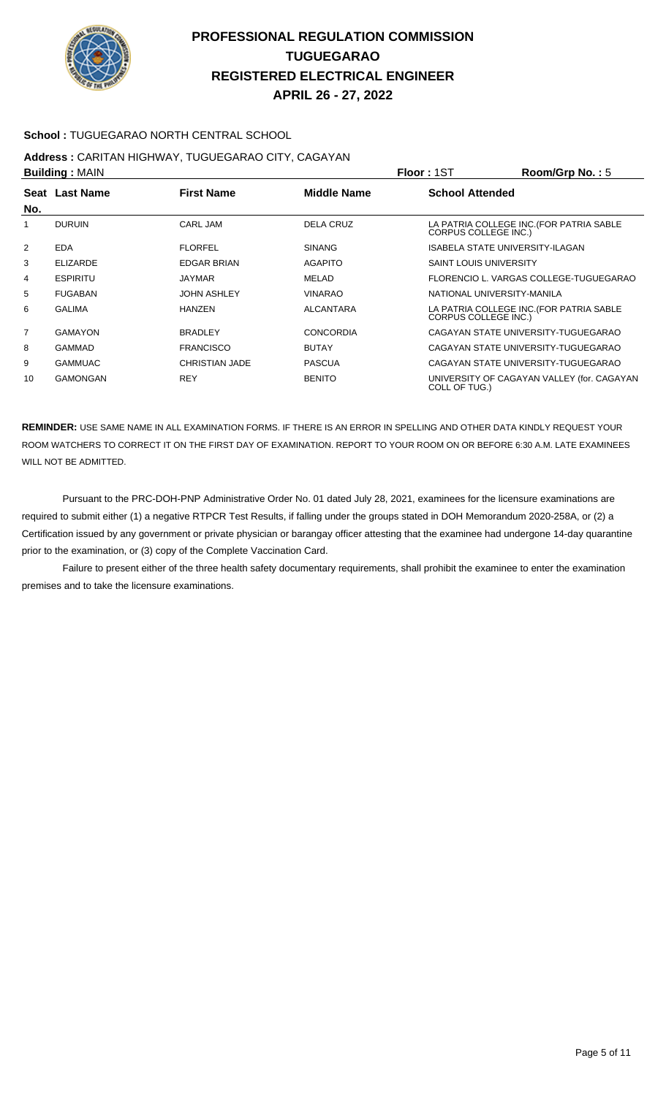

### **School :** TUGUEGARAO NORTH CENTRAL SCHOOL

# **Address :** CARITAN HIGHWAY, TUGUEGARAO CITY, CAGAYAN

| <b>Building: MAIN</b> |                                                           | <b>Floor: 1ST</b>     | Room/Grp No.: 5  |                               |                                            |
|-----------------------|-----------------------------------------------------------|-----------------------|------------------|-------------------------------|--------------------------------------------|
|                       | Seat Last Name<br><b>First Name</b><br><b>Middle Name</b> |                       |                  | <b>School Attended</b>        |                                            |
| No.                   |                                                           |                       |                  |                               |                                            |
| 1                     | <b>DURUIN</b>                                             | CARL JAM              | <b>DELA CRUZ</b> | CORPUS COLLEGE INC.)          | LA PATRIA COLLEGE INC. (FOR PATRIA SABLE   |
| $\overline{2}$        | <b>EDA</b>                                                | <b>FLORFEL</b>        | <b>SINANG</b>    |                               | <b>ISABELA STATE UNIVERSITY-ILAGAN</b>     |
| 3                     | <b>ELIZARDE</b>                                           | <b>EDGAR BRIAN</b>    | <b>AGAPITO</b>   | <b>SAINT LOUIS UNIVERSITY</b> |                                            |
| 4                     | <b>ESPIRITU</b>                                           | <b>JAYMAR</b>         | MELAD            |                               | FLORENCIO L. VARGAS COLLEGE-TUGUEGARAO     |
| 5                     | <b>FUGABAN</b>                                            | <b>JOHN ASHLEY</b>    | <b>VINARAO</b>   |                               | NATIONAL UNIVERSITY-MANILA                 |
| 6                     | <b>GALIMA</b>                                             | <b>HANZEN</b>         | <b>ALCANTARA</b> | <b>CORPUS COLLEGE INC.)</b>   | LA PATRIA COLLEGE INC. (FOR PATRIA SABLE   |
| $\overline{7}$        | <b>GAMAYON</b>                                            | <b>BRADLEY</b>        | <b>CONCORDIA</b> |                               | CAGAYAN STATE UNIVERSITY-TUGUEGARAO        |
| 8                     | <b>GAMMAD</b>                                             | <b>FRANCISCO</b>      | <b>BUTAY</b>     |                               | CAGAYAN STATE UNIVERSITY-TUGUEGARAO        |
| 9                     | <b>GAMMUAC</b>                                            | <b>CHRISTIAN JADE</b> | <b>PASCUA</b>    |                               | CAGAYAN STATE UNIVERSITY-TUGUEGARAO        |
| 10                    | <b>GAMONGAN</b>                                           | <b>REY</b>            | <b>BENITO</b>    | COLL OF TUG.)                 | UNIVERSITY OF CAGAYAN VALLEY (for. CAGAYAN |

**REMINDER:** USE SAME NAME IN ALL EXAMINATION FORMS. IF THERE IS AN ERROR IN SPELLING AND OTHER DATA KINDLY REQUEST YOUR ROOM WATCHERS TO CORRECT IT ON THE FIRST DAY OF EXAMINATION. REPORT TO YOUR ROOM ON OR BEFORE 6:30 A.M. LATE EXAMINEES WILL NOT BE ADMITTED.

 Pursuant to the PRC-DOH-PNP Administrative Order No. 01 dated July 28, 2021, examinees for the licensure examinations are required to submit either (1) a negative RTPCR Test Results, if falling under the groups stated in DOH Memorandum 2020-258A, or (2) a Certification issued by any government or private physician or barangay officer attesting that the examinee had undergone 14-day quarantine prior to the examination, or (3) copy of the Complete Vaccination Card.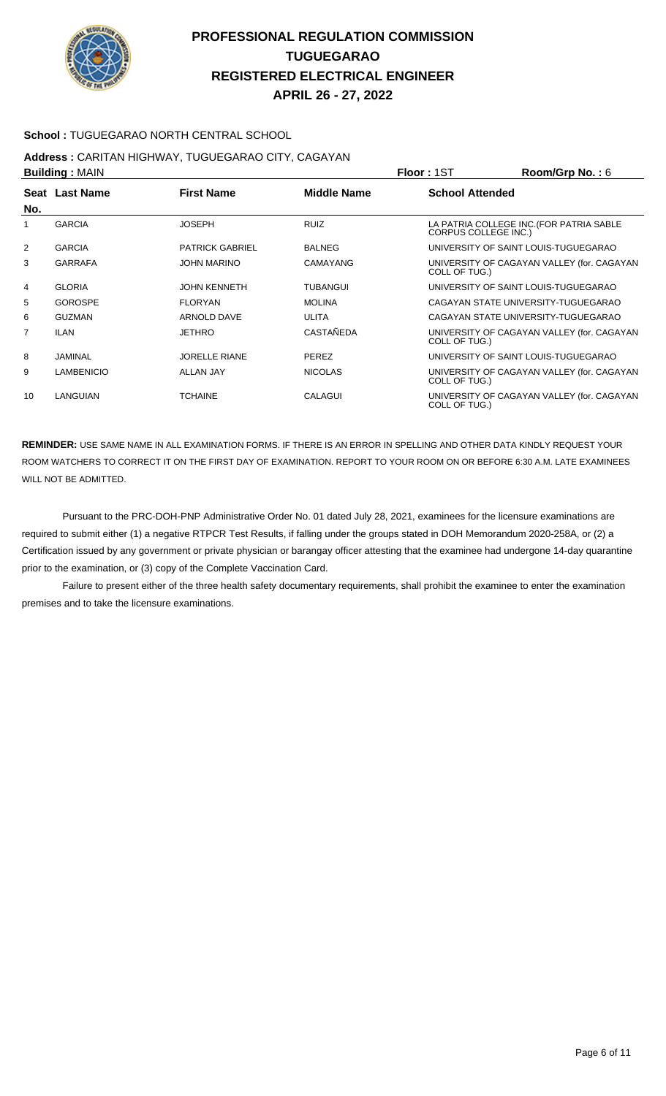

### **School :** TUGUEGARAO NORTH CENTRAL SCHOOL

# **Address :** CARITAN HIGHWAY, TUGUEGARAO CITY, CAGAYAN

| <b>Building: MAIN</b> |                   |                        |                    | <b>Floor: 1ST</b>      | Room/Grp No.: 6                            |
|-----------------------|-------------------|------------------------|--------------------|------------------------|--------------------------------------------|
| No.                   | Seat Last Name    | <b>First Name</b>      | <b>Middle Name</b> | <b>School Attended</b> |                                            |
| 1                     | <b>GARCIA</b>     | <b>JOSEPH</b>          | <b>RUIZ</b>        | CORPUS COLLEGE INC.)   | LA PATRIA COLLEGE INC. (FOR PATRIA SABLE   |
| $\overline{2}$        | <b>GARCIA</b>     | <b>PATRICK GABRIEL</b> | <b>BALNEG</b>      |                        | UNIVERSITY OF SAINT LOUIS-TUGUEGARAO       |
| 3                     | <b>GARRAFA</b>    | <b>JOHN MARINO</b>     | <b>CAMAYANG</b>    | COLL OF TUG.)          | UNIVERSITY OF CAGAYAN VALLEY (for. CAGAYAN |
| 4                     | <b>GLORIA</b>     | <b>JOHN KENNETH</b>    | TUBANGUI           |                        | UNIVERSITY OF SAINT LOUIS-TUGUEGARAO       |
| 5                     | <b>GOROSPE</b>    | <b>FLORYAN</b>         | <b>MOLINA</b>      |                        | CAGAYAN STATE UNIVERSITY-TUGUEGARAO        |
| 6                     | <b>GUZMAN</b>     | ARNOLD DAVE            | ULITA              |                        | CAGAYAN STATE UNIVERSITY-TUGUEGARAO        |
| 7                     | <b>ILAN</b>       | <b>JETHRO</b>          | CASTAÑEDA          | COLL OF TUG.)          | UNIVERSITY OF CAGAYAN VALLEY (for. CAGAYAN |
| 8                     | JAMINAL           | <b>JORELLE RIANE</b>   | <b>PEREZ</b>       |                        | UNIVERSITY OF SAINT LOUIS-TUGUEGARAO       |
| 9                     | <b>LAMBENICIO</b> | <b>ALLAN JAY</b>       | <b>NICOLAS</b>     | COLL OF TUG.)          | UNIVERSITY OF CAGAYAN VALLEY (for. CAGAYAN |
| 10                    | LANGUIAN          | <b>TCHAINE</b>         | CALAGUI            | COLL OF TUG.)          | UNIVERSITY OF CAGAYAN VALLEY (for. CAGAYAN |

**REMINDER:** USE SAME NAME IN ALL EXAMINATION FORMS. IF THERE IS AN ERROR IN SPELLING AND OTHER DATA KINDLY REQUEST YOUR ROOM WATCHERS TO CORRECT IT ON THE FIRST DAY OF EXAMINATION. REPORT TO YOUR ROOM ON OR BEFORE 6:30 A.M. LATE EXAMINEES WILL NOT BE ADMITTED.

 Pursuant to the PRC-DOH-PNP Administrative Order No. 01 dated July 28, 2021, examinees for the licensure examinations are required to submit either (1) a negative RTPCR Test Results, if falling under the groups stated in DOH Memorandum 2020-258A, or (2) a Certification issued by any government or private physician or barangay officer attesting that the examinee had undergone 14-day quarantine prior to the examination, or (3) copy of the Complete Vaccination Card.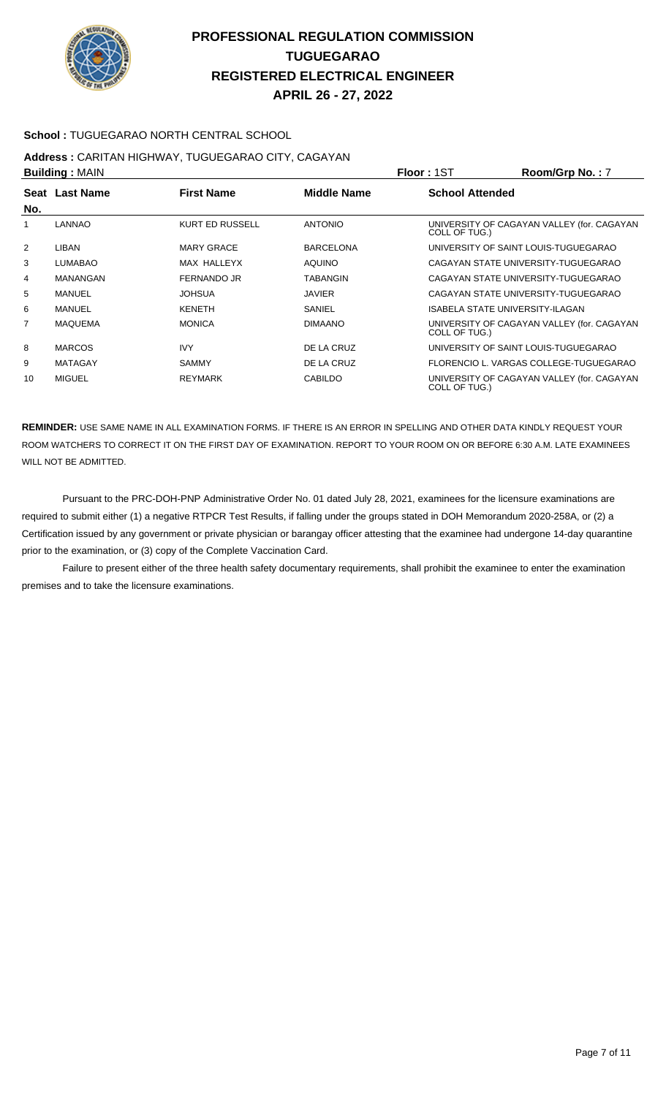

### **School :** TUGUEGARAO NORTH CENTRAL SCHOOL

# **Address :** CARITAN HIGHWAY, TUGUEGARAO CITY, CAGAYAN

|     | <b>Building: MAIN</b> |                        |                  | <b>Floor: 1ST</b>      | Room/Grp No.: 7                            |
|-----|-----------------------|------------------------|------------------|------------------------|--------------------------------------------|
|     | Seat Last Name        | <b>First Name</b>      | Middle Name      | <b>School Attended</b> |                                            |
| No. |                       |                        |                  |                        |                                            |
| 1   | <b>LANNAO</b>         | <b>KURT ED RUSSELL</b> | <b>ANTONIO</b>   | COLL OF TUG.)          | UNIVERSITY OF CAGAYAN VALLEY (for. CAGAYAN |
| 2   | LIBAN                 | <b>MARY GRACE</b>      | <b>BARCELONA</b> |                        | UNIVERSITY OF SAINT LOUIS-TUGUEGARAO       |
| 3   | <b>LUMABAO</b>        | MAX HALLEYX            | <b>AQUINO</b>    |                        | CAGAYAN STATE UNIVERSITY-TUGUEGARAO        |
| 4   | <b>MANANGAN</b>       | FERNANDO JR            | <b>TABANGIN</b>  |                        | CAGAYAN STATE UNIVERSITY-TUGUEGARAO        |
| 5   | MANUEL                | <b>JOHSUA</b>          | <b>JAVIER</b>    |                        | CAGAYAN STATE UNIVERSITY-TUGUEGARAO        |
| 6   | <b>MANUEL</b>         | <b>KENETH</b>          | SANIEL           |                        | ISABELA STATE UNIVERSITY-ILAGAN            |
| 7   | <b>MAQUEMA</b>        | <b>MONICA</b>          | <b>DIMAANO</b>   | COLL OF TUG.)          | UNIVERSITY OF CAGAYAN VALLEY (for. CAGAYAN |
| 8   | <b>MARCOS</b>         | <b>IVY</b>             | DE LA CRUZ       |                        | UNIVERSITY OF SAINT LOUIS-TUGUEGARAO       |
| 9   | <b>MATAGAY</b>        | <b>SAMMY</b>           | DE LA CRUZ       |                        | FLORENCIO L. VARGAS COLLEGE-TUGUEGARAO     |
| 10  | <b>MIGUEL</b>         | <b>REYMARK</b>         | <b>CABILDO</b>   | COLL OF TUG.)          | UNIVERSITY OF CAGAYAN VALLEY (for. CAGAYAN |

**REMINDER:** USE SAME NAME IN ALL EXAMINATION FORMS. IF THERE IS AN ERROR IN SPELLING AND OTHER DATA KINDLY REQUEST YOUR ROOM WATCHERS TO CORRECT IT ON THE FIRST DAY OF EXAMINATION. REPORT TO YOUR ROOM ON OR BEFORE 6:30 A.M. LATE EXAMINEES WILL NOT BE ADMITTED.

 Pursuant to the PRC-DOH-PNP Administrative Order No. 01 dated July 28, 2021, examinees for the licensure examinations are required to submit either (1) a negative RTPCR Test Results, if falling under the groups stated in DOH Memorandum 2020-258A, or (2) a Certification issued by any government or private physician or barangay officer attesting that the examinee had undergone 14-day quarantine prior to the examination, or (3) copy of the Complete Vaccination Card.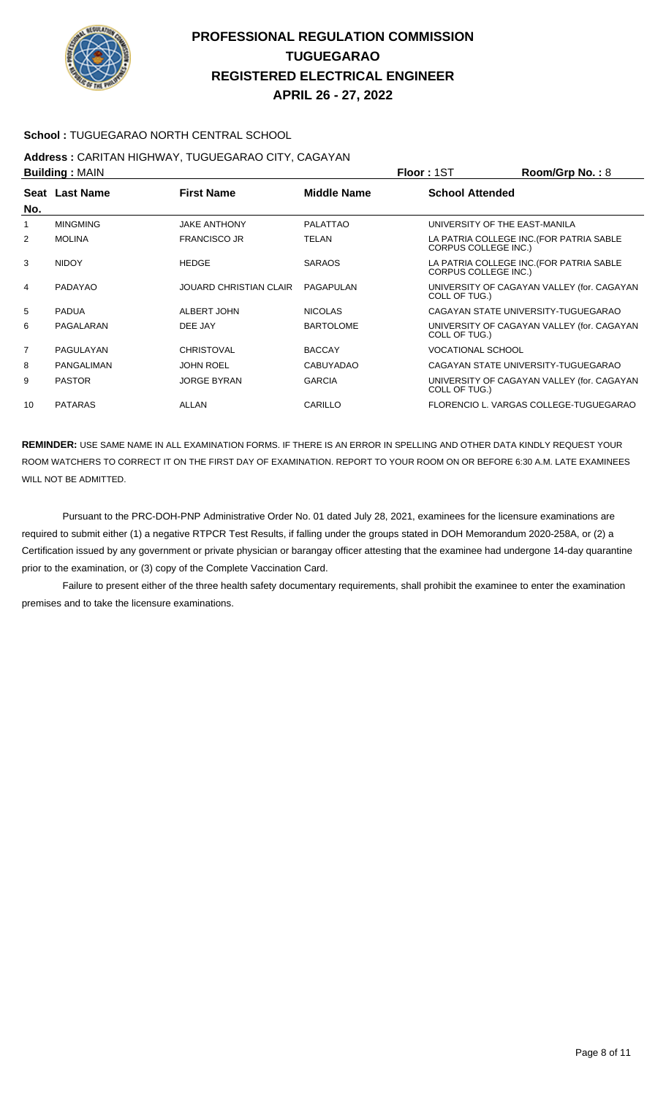

#### **School :** TUGUEGARAO NORTH CENTRAL SCHOOL

# **Address :** CARITAN HIGHWAY, TUGUEGARAO CITY, CAGAYAN

| <b>Building: MAIN</b> |                   |                               |                    | <b>Floor: 1ST</b>           | Room/Grp No.: 8                            |
|-----------------------|-------------------|-------------------------------|--------------------|-----------------------------|--------------------------------------------|
| No.                   | Seat Last Name    | <b>First Name</b>             | <b>Middle Name</b> | <b>School Attended</b>      |                                            |
| 1                     | <b>MINGMING</b>   | <b>JAKE ANTHONY</b>           | <b>PALATTAO</b>    |                             | UNIVERSITY OF THE EAST-MANILA              |
| 2                     | <b>MOLINA</b>     | <b>FRANCISCO JR</b>           | TELAN              | <b>CORPUS COLLEGE INC.)</b> | LA PATRIA COLLEGE INC. (FOR PATRIA SABLE   |
| 3                     | <b>NIDOY</b>      | <b>HEDGE</b>                  | <b>SARAOS</b>      | <b>CORPUS COLLEGE INC.)</b> | LA PATRIA COLLEGE INC. (FOR PATRIA SABLE   |
| $\overline{4}$        | PADAYAO           | <b>JOUARD CHRISTIAN CLAIR</b> | PAGAPULAN          | COLL OF TUG.)               | UNIVERSITY OF CAGAYAN VALLEY (for. CAGAYAN |
| 5                     | <b>PADUA</b>      | ALBERT JOHN                   | <b>NICOLAS</b>     |                             | CAGAYAN STATE UNIVERSITY-TUGUEGARAO        |
| 6                     | PAGALARAN         | DEE JAY                       | <b>BARTOLOME</b>   | COLL OF TUG.)               | UNIVERSITY OF CAGAYAN VALLEY (for. CAGAYAN |
| $\overline{7}$        | PAGULAYAN         | <b>CHRISTOVAL</b>             | <b>BACCAY</b>      | <b>VOCATIONAL SCHOOL</b>    |                                            |
| 8                     | <b>PANGALIMAN</b> | <b>JOHN ROEL</b>              | <b>CABUYADAO</b>   |                             | CAGAYAN STATE UNIVERSITY-TUGUEGARAO        |
| 9                     | <b>PASTOR</b>     | <b>JORGE BYRAN</b>            | <b>GARCIA</b>      | COLL OF TUG.)               | UNIVERSITY OF CAGAYAN VALLEY (for. CAGAYAN |
| 10                    | <b>PATARAS</b>    | ALLAN                         | CARILLO            |                             | FLORENCIO L. VARGAS COLLEGE-TUGUEGARAO     |

**REMINDER:** USE SAME NAME IN ALL EXAMINATION FORMS. IF THERE IS AN ERROR IN SPELLING AND OTHER DATA KINDLY REQUEST YOUR ROOM WATCHERS TO CORRECT IT ON THE FIRST DAY OF EXAMINATION. REPORT TO YOUR ROOM ON OR BEFORE 6:30 A.M. LATE EXAMINEES WILL NOT BE ADMITTED.

 Pursuant to the PRC-DOH-PNP Administrative Order No. 01 dated July 28, 2021, examinees for the licensure examinations are required to submit either (1) a negative RTPCR Test Results, if falling under the groups stated in DOH Memorandum 2020-258A, or (2) a Certification issued by any government or private physician or barangay officer attesting that the examinee had undergone 14-day quarantine prior to the examination, or (3) copy of the Complete Vaccination Card.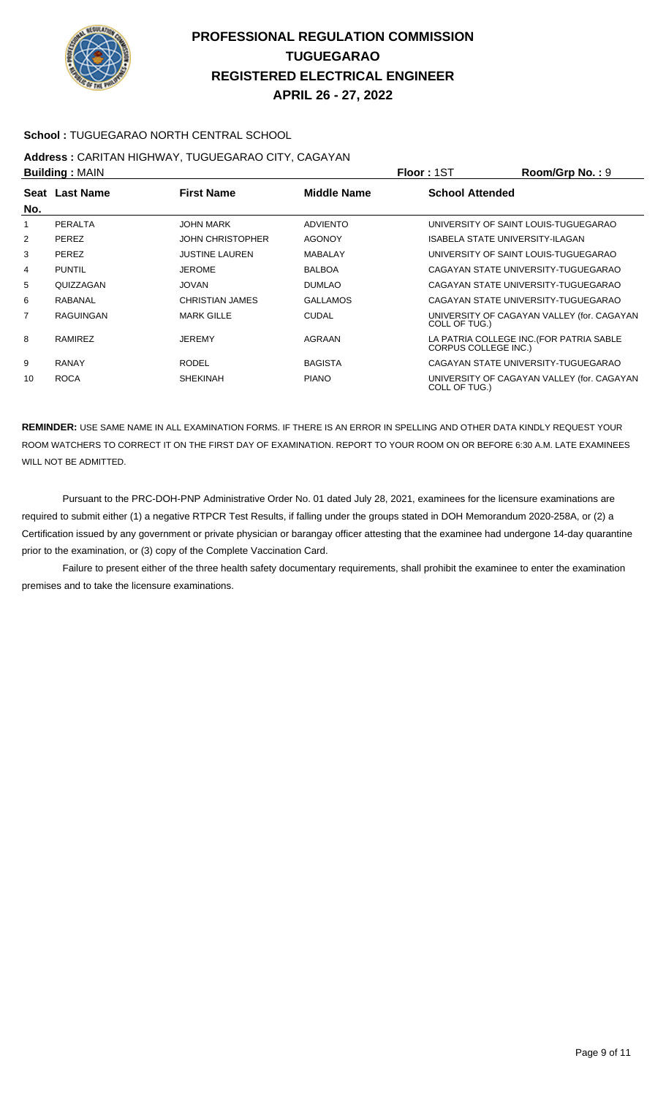

### **School :** TUGUEGARAO NORTH CENTRAL SCHOOL

# **Address :** CARITAN HIGHWAY, TUGUEGARAO CITY, CAGAYAN

| <b>Building: MAIN</b> |                  | <b>Floor: 1ST</b>       | Room/Grp No.: 9 |                        |                                            |
|-----------------------|------------------|-------------------------|-----------------|------------------------|--------------------------------------------|
|                       | Seat Last Name   | <b>First Name</b>       | Middle Name     | <b>School Attended</b> |                                            |
| No.                   |                  |                         |                 |                        |                                            |
|                       | PERALTA          | <b>JOHN MARK</b>        | <b>ADVIENTO</b> |                        | UNIVERSITY OF SAINT LOUIS-TUGUEGARAO       |
| 2                     | <b>PEREZ</b>     | <b>JOHN CHRISTOPHER</b> | <b>AGONOY</b>   |                        | ISABELA STATE UNIVERSITY-ILAGAN            |
| 3                     | <b>PEREZ</b>     | <b>JUSTINE LAUREN</b>   | <b>MABALAY</b>  |                        | UNIVERSITY OF SAINT LOUIS-TUGUEGARAO       |
| 4                     | <b>PUNTIL</b>    | <b>JEROME</b>           | <b>BALBOA</b>   |                        | CAGAYAN STATE UNIVERSITY-TUGUEGARAO        |
| 5                     | QUIZZAGAN        | <b>JOVAN</b>            | <b>DUMLAO</b>   |                        | CAGAYAN STATE UNIVERSITY-TUGUEGARAO        |
| 6                     | RABANAL          | CHRISTIAN JAMES         | <b>GALLAMOS</b> |                        | CAGAYAN STATE UNIVERSITY-TUGUEGARAO        |
| $\overline{7}$        | <b>RAGUINGAN</b> | <b>MARK GILLE</b>       | <b>CUDAL</b>    | COLL OF TUG.)          | UNIVERSITY OF CAGAYAN VALLEY (for. CAGAYAN |
| 8                     | RAMIREZ          | <b>JEREMY</b>           | AGRAAN          | CORPUS COLLEGE INC.)   | LA PATRIA COLLEGE INC. (FOR PATRIA SABLE   |
| 9                     | <b>RANAY</b>     | <b>RODEL</b>            | <b>BAGISTA</b>  |                        | CAGAYAN STATE UNIVERSITY-TUGUEGARAO        |
| 10                    | <b>ROCA</b>      | <b>SHEKINAH</b>         | <b>PIANO</b>    | COLL OF TUG.)          | UNIVERSITY OF CAGAYAN VALLEY (for. CAGAYAN |

**REMINDER:** USE SAME NAME IN ALL EXAMINATION FORMS. IF THERE IS AN ERROR IN SPELLING AND OTHER DATA KINDLY REQUEST YOUR ROOM WATCHERS TO CORRECT IT ON THE FIRST DAY OF EXAMINATION. REPORT TO YOUR ROOM ON OR BEFORE 6:30 A.M. LATE EXAMINEES WILL NOT BE ADMITTED.

 Pursuant to the PRC-DOH-PNP Administrative Order No. 01 dated July 28, 2021, examinees for the licensure examinations are required to submit either (1) a negative RTPCR Test Results, if falling under the groups stated in DOH Memorandum 2020-258A, or (2) a Certification issued by any government or private physician or barangay officer attesting that the examinee had undergone 14-day quarantine prior to the examination, or (3) copy of the Complete Vaccination Card.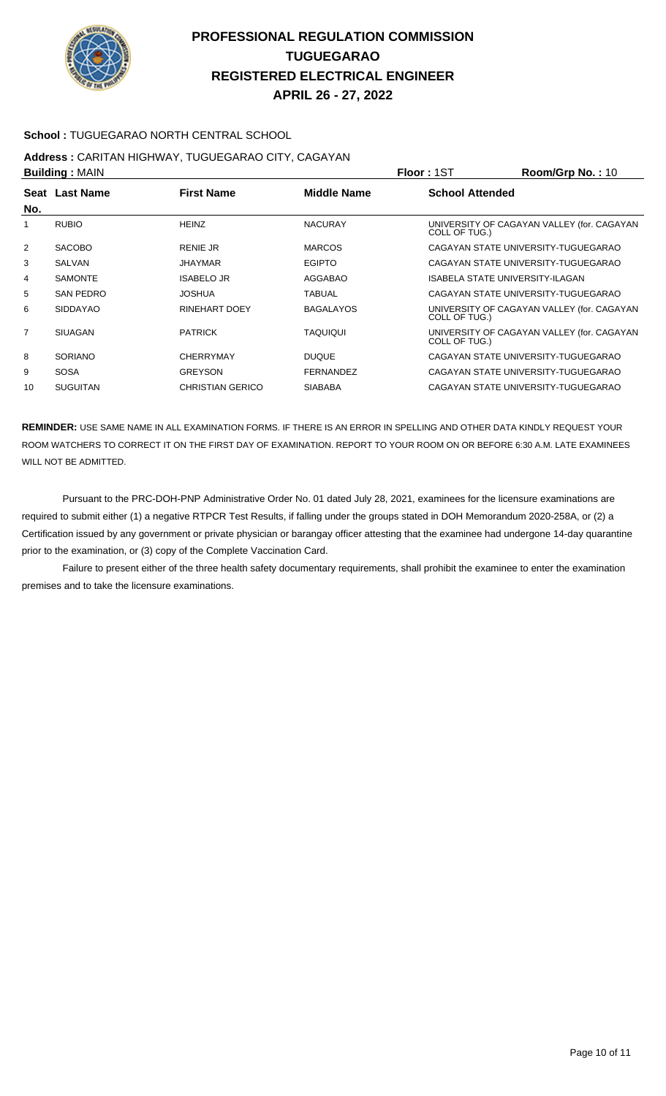

### **School :** TUGUEGARAO NORTH CENTRAL SCHOOL

# **Address :** CARITAN HIGHWAY, TUGUEGARAO CITY, CAGAYAN

| <b>Building: MAIN</b> |                  |                         |                  | <b>Floor: 1ST</b>               | Room/Grp No.: 10                           |
|-----------------------|------------------|-------------------------|------------------|---------------------------------|--------------------------------------------|
| No.                   | Seat Last Name   | <b>First Name</b>       | Middle Name      | <b>School Attended</b>          |                                            |
| 1                     | <b>RUBIO</b>     | <b>HEINZ</b>            | <b>NACURAY</b>   | COLL OF TUG.)                   | UNIVERSITY OF CAGAYAN VALLEY (for. CAGAYAN |
| $\overline{2}$        | <b>SACOBO</b>    | <b>RENIE JR</b>         | <b>MARCOS</b>    |                                 | CAGAYAN STATE UNIVERSITY-TUGUEGARAO        |
| 3                     | SALVAN           | <b>JHAYMAR</b>          | <b>EGIPTO</b>    |                                 | CAGAYAN STATE UNIVERSITY-TUGUEGARAO        |
| 4                     | <b>SAMONTE</b>   | <b>ISABELO JR</b>       | AGGABAO          | ISABELA STATE UNIVERSITY-ILAGAN |                                            |
| 5                     | <b>SAN PEDRO</b> | <b>JOSHUA</b>           | <b>TABUAL</b>    |                                 | CAGAYAN STATE UNIVERSITY-TUGUEGARAO        |
| 6                     | <b>SIDDAYAO</b>  | RINEHART DOEY           | <b>BAGALAYOS</b> | COLL OF TUG.)                   | UNIVERSITY OF CAGAYAN VALLEY (for. CAGAYAN |
| $\overline{7}$        | <b>SIUAGAN</b>   | <b>PATRICK</b>          | <b>TAQUIQUI</b>  | COLL OF TUG.)                   | UNIVERSITY OF CAGAYAN VALLEY (for. CAGAYAN |
| 8                     | <b>SORIANO</b>   | <b>CHERRYMAY</b>        | <b>DUQUE</b>     |                                 | CAGAYAN STATE UNIVERSITY TUGUEGARAO        |
| 9                     | <b>SOSA</b>      | <b>GREYSON</b>          | <b>FERNANDEZ</b> |                                 | CAGAYAN STATE UNIVERSITY-TUGUEGARAO        |
| 10                    | <b>SUGUITAN</b>  | <b>CHRISTIAN GERICO</b> | <b>SIABABA</b>   |                                 | CAGAYAN STATE UNIVERSITY-TUGUEGARAO        |

**REMINDER:** USE SAME NAME IN ALL EXAMINATION FORMS. IF THERE IS AN ERROR IN SPELLING AND OTHER DATA KINDLY REQUEST YOUR ROOM WATCHERS TO CORRECT IT ON THE FIRST DAY OF EXAMINATION. REPORT TO YOUR ROOM ON OR BEFORE 6:30 A.M. LATE EXAMINEES WILL NOT BE ADMITTED.

 Pursuant to the PRC-DOH-PNP Administrative Order No. 01 dated July 28, 2021, examinees for the licensure examinations are required to submit either (1) a negative RTPCR Test Results, if falling under the groups stated in DOH Memorandum 2020-258A, or (2) a Certification issued by any government or private physician or barangay officer attesting that the examinee had undergone 14-day quarantine prior to the examination, or (3) copy of the Complete Vaccination Card.